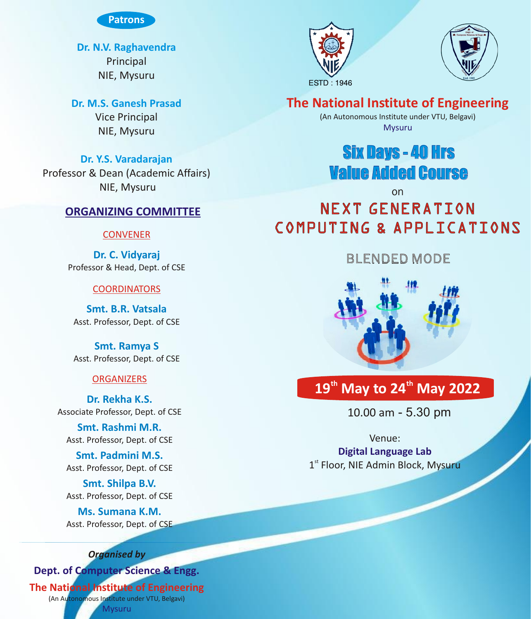

**Dr. N.V. Raghavendra** Principal NIE, Mysuru

**Dr. M.S. Ganesh Prasad** Vice Principal

NIE, Mysuru

**Dr. Y.S. Varadarajan** Professor & Dean (Academic Affairs) NIE, Mysuru

### **ORGANIZING COMMITTEE**

### **CONVENER**

**Dr. C. Vidyaraj** Professor & Head, Dept. of CSE

### **COORDINATORS**

**Smt. B.R. Vatsala** Asst. Professor, Dept. of CSE

**Smt. Ramya S** Asst. Professor, Dept. of CSE

### **ORGANIZERS**

**Dr. Rekha K.S.**  Associate Professor, Dept. of CSE

**Smt. Rashmi M.R.** Asst. Professor, Dept. of CSE

**Smt. Padmini M.S.** Asst. Professor, Dept. of CSE

**Smt. Shilpa B.V.** Asst. Professor, Dept. of CSE

**Ms. Sumana K.M.** Asst. Professor, Dept. of CSE

### *Organised by*

(An Autonomous Institute under VTU, Belgavi) **Dept. of Computer Science & Engg.** Mysuru **The National Institute of Engineering** 





### **The National Institute of Engineering**

(An Autonomous Institute under VTU, Belgavi) Mysuru

## Six Days - 40 Hrs Value Added Course

on

# NEXT GENERATION COMPUTING & APPLICATIONS

## BLENDED MODE



## **th th 19 May to 24 May 2022**

10.00 am - 5.30 pm

Venue: 1<sup>st</sup> Floor, NIE Admin Block, Mysuru **Digital Language Lab**